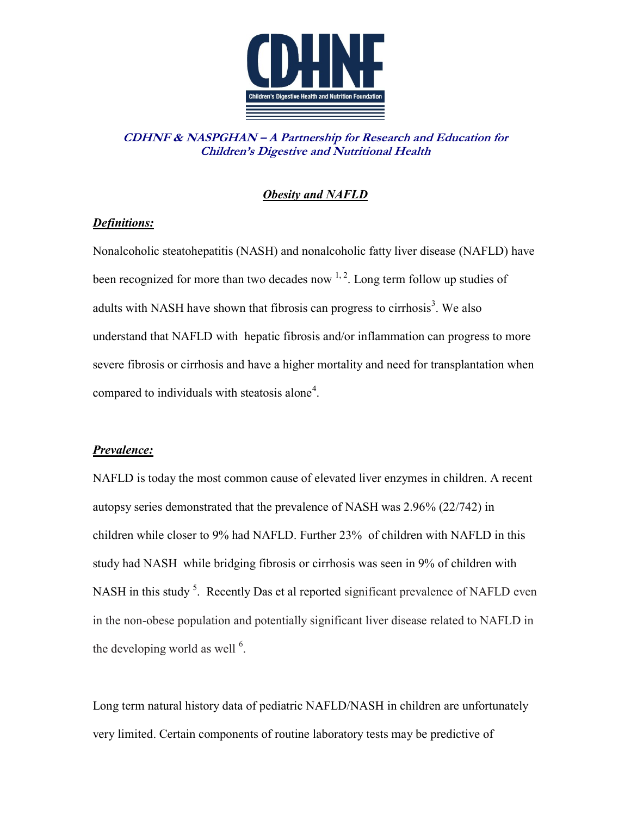

**CDHNF & NASPGHAN – A Partnership for Research and Education for Children's Digestive and Nutritional Health**

## *Obesity and NAFLD*

## *Definitions:*

Nonalcoholic steatohepatitis (NASH) and nonalcoholic fatty liver disease (NAFLD) have been recognized for more than two decades now  $1, 2$  $1, 2$ . Long term follow up studies of adult[s](#page-3-2) with NASH have shown that fibrosis can progress to cirrhosis<sup>3</sup>. We also understand that NAFLD with hepatic fibrosis and/or inflammation can progress to more severe fibrosis or cirrhosis and have a higher mortality and need for transplantation when compared to individuals with steatosis alone<sup>[4](#page-3-3)</sup>.

### *Prevalence:*

NAFLD is today the most common cause of elevated liver enzymes in children. A recent autopsy series demonstrated that the prevalence of NASH was 2.96% (22/742) in children while closer to 9% had NAFLD. Further 23% of children with NAFLD in this study had NASH while bridging fibrosis or cirrhosis was seen in 9% of children with NASH in this study<sup>5</sup>[.](#page-3-4) Recently Das et al reported significant prevalence of NAFLD even in the non-obese population and potentially significant liver disease related to NAFLD in thedeveloping world as well  $<sup>6</sup>$ .</sup>

Long term natural history data of pediatric NAFLD/NASH in children are unfortunately very limited. Certain components of routine laboratory tests may be predictive of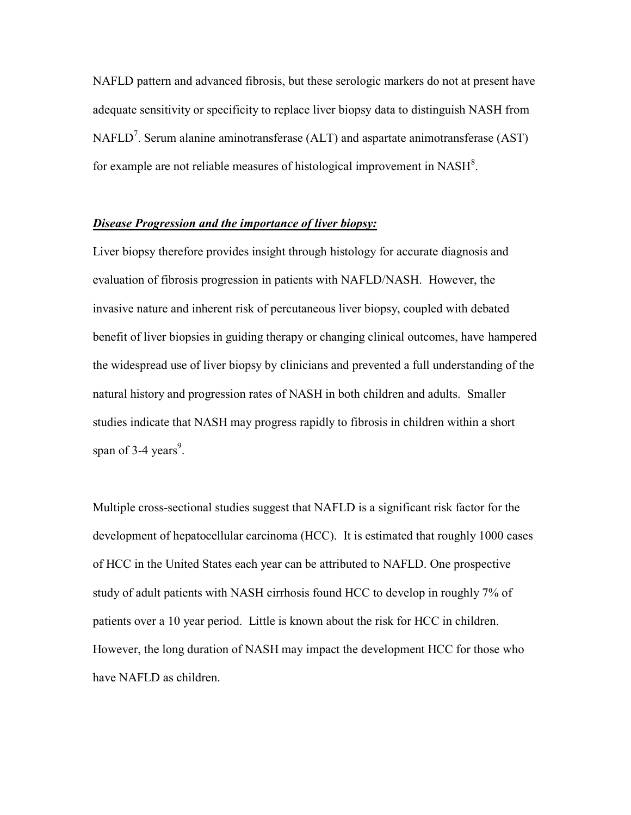NAFLD pattern and advanced fibrosis, but these serologic markers do not at present have adequate sensitivity or specificity to replace liver biopsy data to distinguish NASH from NAFLD<sup>[7](#page-3-6)</sup>. Serum alanine aminotransferase (ALT) and aspartate animotransferase (AST) for example are not reliable measures of histological improvement in  $NASH^8$  $NASH^8$ .

#### *Disease Progression and the importance of liver biopsy:*

Liver biopsy therefore provides insight through histology for accurate diagnosis and evaluation of fibrosis progression in patients with NAFLD/NASH. However, the invasive nature and inherent risk of percutaneous liver biopsy, coupled with debated benefit of liver biopsies in guiding therapy or changing clinical outcomes, have hampered the widespread use of liver biopsy by clinicians and prevented a full understanding of the natural history and progression rates of NASH in both children and adults. Smaller studies indicate that NASH may progress rapidly to fibrosis in children within a short span of 3-4 years<sup>9</sup>[.](#page-3-8)

Multiple cross-sectional studies suggest that NAFLD is a significant risk factor for the development of hepatocellular carcinoma (HCC). It is estimated that roughly 1000 cases of HCC in the United States each year can be attributed to NAFLD. One prospective study of adult patients with NASH cirrhosis found HCC to develop in roughly 7% of patients over a 10 year period. Little is known about the risk for HCC in children. However, the long duration of NASH may impact the development HCC for those who have NAFLD as children.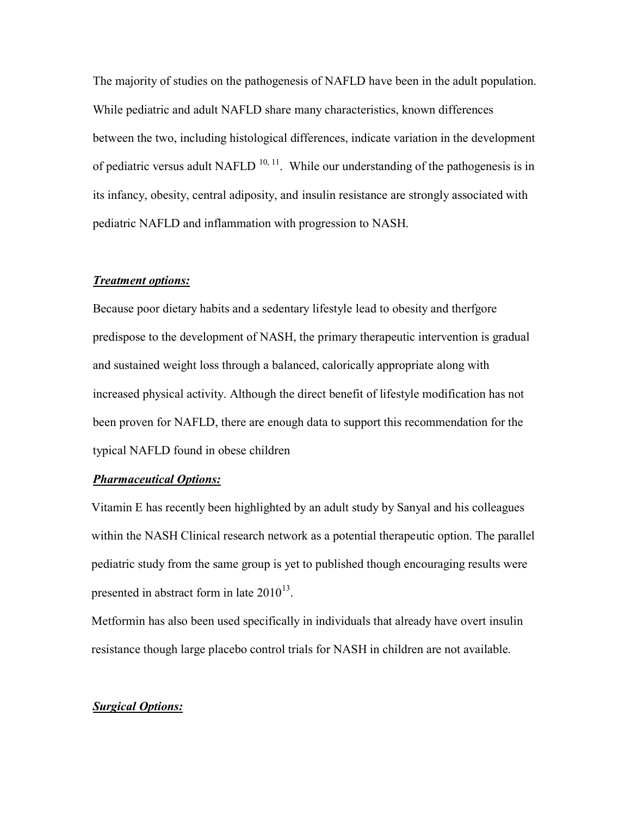The majority of studies on the pathogenesis of NAFLD have been in the adult population. While pediatric and adult NAFLD share many characteristics, known differences between the two, including histological differences, indicate variation in the development of pediatric versus adult NAFLD  $10, 11$  $10, 11$ . While our understanding of the pathogenesis is in its infancy, obesity, central adiposity, and insulin resistance are strongly associated with pediatric NAFLD and inflammation with progression to NASH.

#### *Treatment options:*

Because poor dietary habits and a sedentary lifestyle lead to obesity and therfgore predispose to the development of NASH, the primary therapeutic intervention is gradual and sustained weight loss through a balanced, calorically appropriate along with increased physical activity. Although the direct benefit of lifestyle modification has not been proven for NAFLD, there are enough data to support this recommendation for the typical NAFLD found in obese children

#### *Pharmaceutical Options:*

Vitamin E has recently been highlighted by an adult study by Sanyal and his colleagues within the NASH Clinical research network as a potential therapeutic option. The parallel pediatric study from the same group is yet to published though encouraging results were presented in abstract form in late  $2010^{13}$ .

Metformin has also been used specifically in individuals that already have overt insulin resistance though large placebo control trials for NASH in children are not available.

#### *Surgical Options:*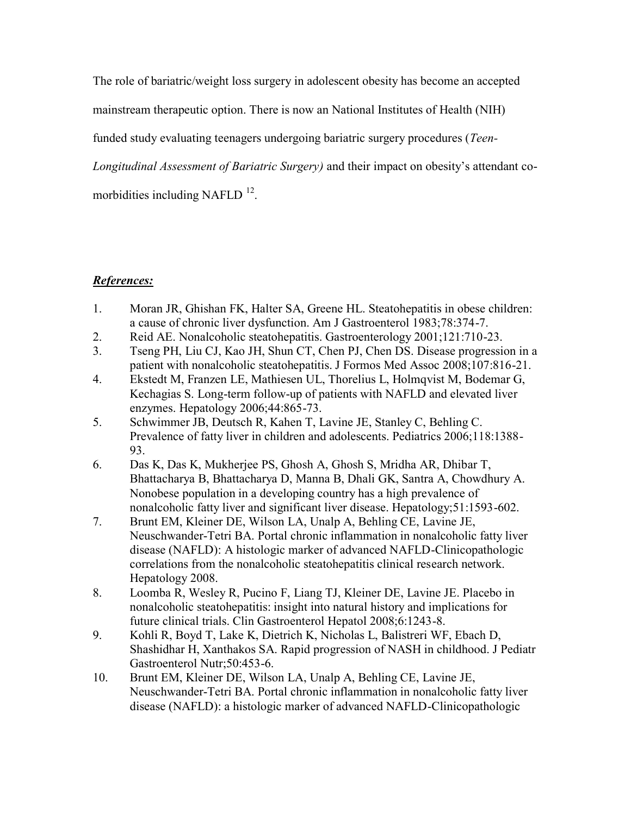The role of bariatric/weight loss surgery in adolescent obesity has become an accepted

mainstream therapeutic option. There is now an National Institutes of Health (NIH)

funded study evaluating teenagers undergoing bariatric surgery procedures (*Teen-*

*Longitudinal Assessment of Bariatric Surgery)* and their impact on obesity's attendant co-

morbidities including NAFLD  $^{12}$  $^{12}$  $^{12}$ .

# *References:*

- <span id="page-3-0"></span>1. Moran JR, Ghishan FK, Halter SA, Greene HL. Steatohepatitis in obese children: a cause of chronic liver dysfunction. Am J Gastroenterol 1983;78:374-7.
- <span id="page-3-1"></span>2. Reid AE. Nonalcoholic steatohepatitis. Gastroenterology 2001;121:710-23.
- <span id="page-3-2"></span>3. Tseng PH, Liu CJ, Kao JH, Shun CT, Chen PJ, Chen DS. Disease progression in a patient with nonalcoholic steatohepatitis. J Formos Med Assoc 2008;107:816-21.
- <span id="page-3-3"></span>4. Ekstedt M, Franzen LE, Mathiesen UL, Thorelius L, Holmqvist M, Bodemar G, Kechagias S. Long-term follow-up of patients with NAFLD and elevated liver enzymes. Hepatology 2006;44:865-73.
- <span id="page-3-4"></span>5. Schwimmer JB, Deutsch R, Kahen T, Lavine JE, Stanley C, Behling C. Prevalence of fatty liver in children and adolescents. Pediatrics 2006;118:1388- 93.
- <span id="page-3-5"></span>6. Das K, Das K, Mukherjee PS, Ghosh A, Ghosh S, Mridha AR, Dhibar T, Bhattacharya B, Bhattacharya D, Manna B, Dhali GK, Santra A, Chowdhury A. Nonobese population in a developing country has a high prevalence of nonalcoholic fatty liver and significant liver disease. Hepatology;51:1593-602.
- <span id="page-3-6"></span>7. Brunt EM, Kleiner DE, Wilson LA, Unalp A, Behling CE, Lavine JE, Neuschwander-Tetri BA. Portal chronic inflammation in nonalcoholic fatty liver disease (NAFLD): A histologic marker of advanced NAFLD-Clinicopathologic correlations from the nonalcoholic steatohepatitis clinical research network. Hepatology 2008.
- <span id="page-3-7"></span>8. Loomba R, Wesley R, Pucino F, Liang TJ, Kleiner DE, Lavine JE. Placebo in nonalcoholic steatohepatitis: insight into natural history and implications for future clinical trials. Clin Gastroenterol Hepatol 2008;6:1243-8.
- <span id="page-3-8"></span>9. Kohli R, Boyd T, Lake K, Dietrich K, Nicholas L, Balistreri WF, Ebach D, Shashidhar H, Xanthakos SA. Rapid progression of NASH in childhood. J Pediatr Gastroenterol Nutr;50:453-6.
- <span id="page-3-9"></span>10. Brunt EM, Kleiner DE, Wilson LA, Unalp A, Behling CE, Lavine JE, Neuschwander-Tetri BA. Portal chronic inflammation in nonalcoholic fatty liver disease (NAFLD): a histologic marker of advanced NAFLD-Clinicopathologic